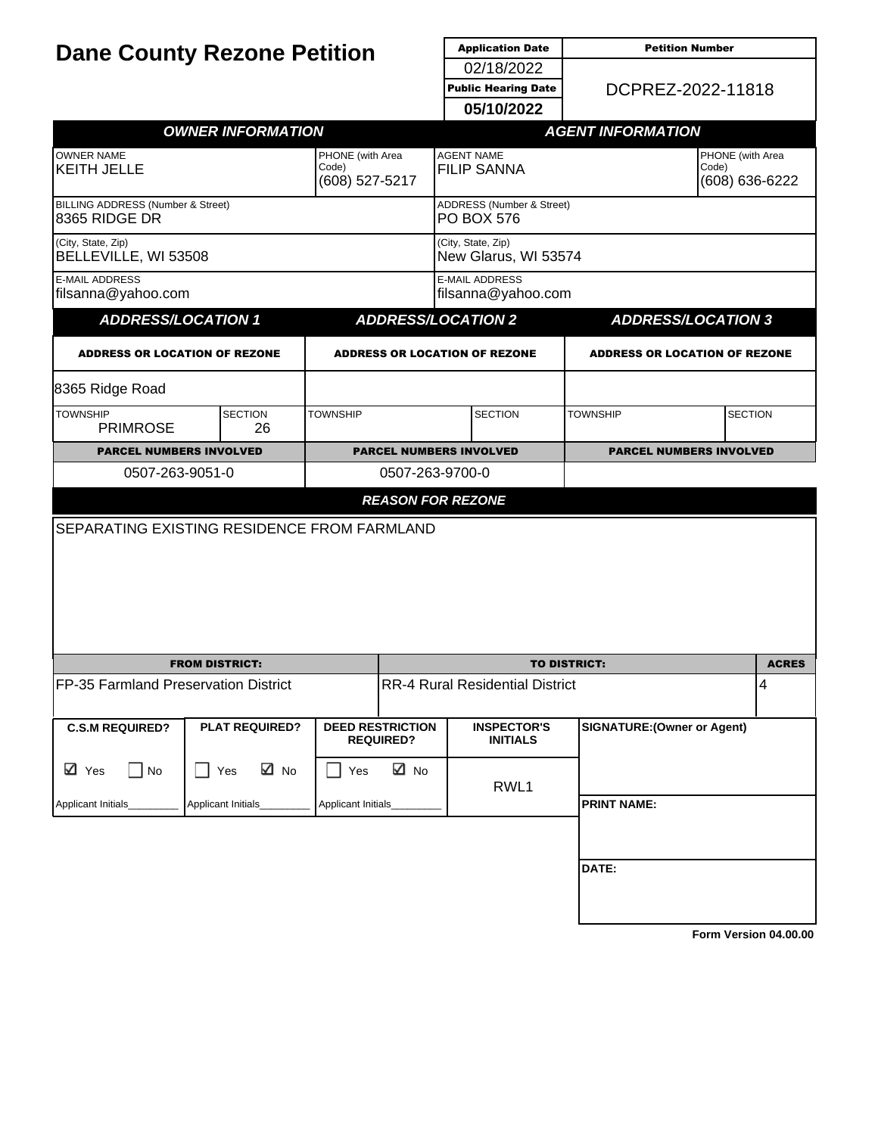| <b>Dane County Rezone Petition</b>                            |            |                          |                                             | <b>Application Date</b>                     | <b>Petition Number</b>                         |                                      |                                    |  |
|---------------------------------------------------------------|------------|--------------------------|---------------------------------------------|---------------------------------------------|------------------------------------------------|--------------------------------------|------------------------------------|--|
|                                                               |            |                          |                                             |                                             | 02/18/2022                                     |                                      |                                    |  |
|                                                               |            |                          |                                             |                                             | <b>Public Hearing Date</b>                     | DCPREZ-2022-11818                    |                                    |  |
|                                                               |            |                          |                                             |                                             | 05/10/2022                                     |                                      |                                    |  |
|                                                               |            | <b>OWNER INFORMATION</b> |                                             |                                             |                                                | <b>AGENT INFORMATION</b>             |                                    |  |
| <b>OWNER NAME</b><br><b>KEITH JELLE</b>                       |            |                          | PHONE (with Area<br>Code)<br>(608) 527-5217 |                                             | <b>AGENT NAME</b><br><b>FILIP SANNA</b>        | Code)                                | PHONE (with Area<br>(608) 636-6222 |  |
| <b>BILLING ADDRESS (Number &amp; Street)</b><br>8365 RIDGE DR |            |                          |                                             |                                             | ADDRESS (Number & Street)<br><b>PO BOX 576</b> |                                      |                                    |  |
| (City, State, Zip)<br>BELLEVILLE, WI 53508                    |            |                          |                                             |                                             | (City, State, Zip)<br>New Glarus, WI 53574     |                                      |                                    |  |
| <b>E-MAIL ADDRESS</b><br>filsanna@yahoo.com                   |            |                          |                                             |                                             | <b>E-MAIL ADDRESS</b><br>filsanna@yahoo.com    |                                      |                                    |  |
| <b>ADDRESS/LOCATION 1</b>                                     |            |                          |                                             |                                             | <b>ADDRESS/LOCATION 2</b>                      | <b>ADDRESS/LOCATION 3</b>            |                                    |  |
| <b>ADDRESS OR LOCATION OF REZONE</b>                          |            |                          |                                             |                                             | <b>ADDRESS OR LOCATION OF REZONE</b>           | <b>ADDRESS OR LOCATION OF REZONE</b> |                                    |  |
| 8365 Ridge Road                                               |            |                          |                                             |                                             |                                                |                                      |                                    |  |
| <b>TOWNSHIP</b><br><b>PRIMROSE</b>                            |            | <b>SECTION</b><br>26     | <b>TOWNSHIP</b>                             |                                             | <b>SECTION</b>                                 | <b>TOWNSHIP</b>                      | <b>SECTION</b>                     |  |
| <b>PARCEL NUMBERS INVOLVED</b>                                |            |                          | <b>PARCEL NUMBERS INVOLVED</b>              |                                             | <b>PARCEL NUMBERS INVOLVED</b>                 |                                      |                                    |  |
| 0507-263-9051-0                                               |            |                          | 0507-263-9700-0                             |                                             |                                                |                                      |                                    |  |
|                                                               |            |                          |                                             |                                             | <b>REASON FOR REZONE</b>                       |                                      |                                    |  |
| <b>SEPARATING EXISTING RESIDENCE FROM FARMLAND</b>            |            |                          |                                             |                                             |                                                |                                      |                                    |  |
|                                                               |            | <b>FROM DISTRICT:</b>    |                                             |                                             | <b>TO DISTRICT:</b>                            |                                      |                                    |  |
| FP-35 Farmland Preservation District                          |            |                          |                                             |                                             | <b>RR-4 Rural Residential District</b>         |                                      | 4                                  |  |
| <b>C.S.M REQUIRED?</b>                                        |            | <b>PLAT REQUIRED?</b>    |                                             | <b>DEED RESTRICTION</b><br><b>REQUIRED?</b> | <b>INSPECTOR'S</b><br><b>INITIALS</b>          | <b>SIGNATURE: (Owner or Agent)</b>   |                                    |  |
| ⊠ Yes<br>$\Box$ No                                            | $\Box$ Yes | ⊠ No                     | Yes                                         | ⊠ No                                        | RWL1                                           |                                      |                                    |  |
| Applicant Initials_                                           |            | Applicant Initials_      | Applicant Initials                          |                                             |                                                | <b>PRINT NAME:</b>                   |                                    |  |
|                                                               |            |                          |                                             |                                             |                                                | DATE:                                |                                    |  |
|                                                               |            |                          |                                             |                                             |                                                |                                      |                                    |  |

**[Form Version 04.00.00](http://sql2008-reports/Reports/Pages/Resource.aspx?ItemPath=%2fDocumentation%2fReport+Index.docx)**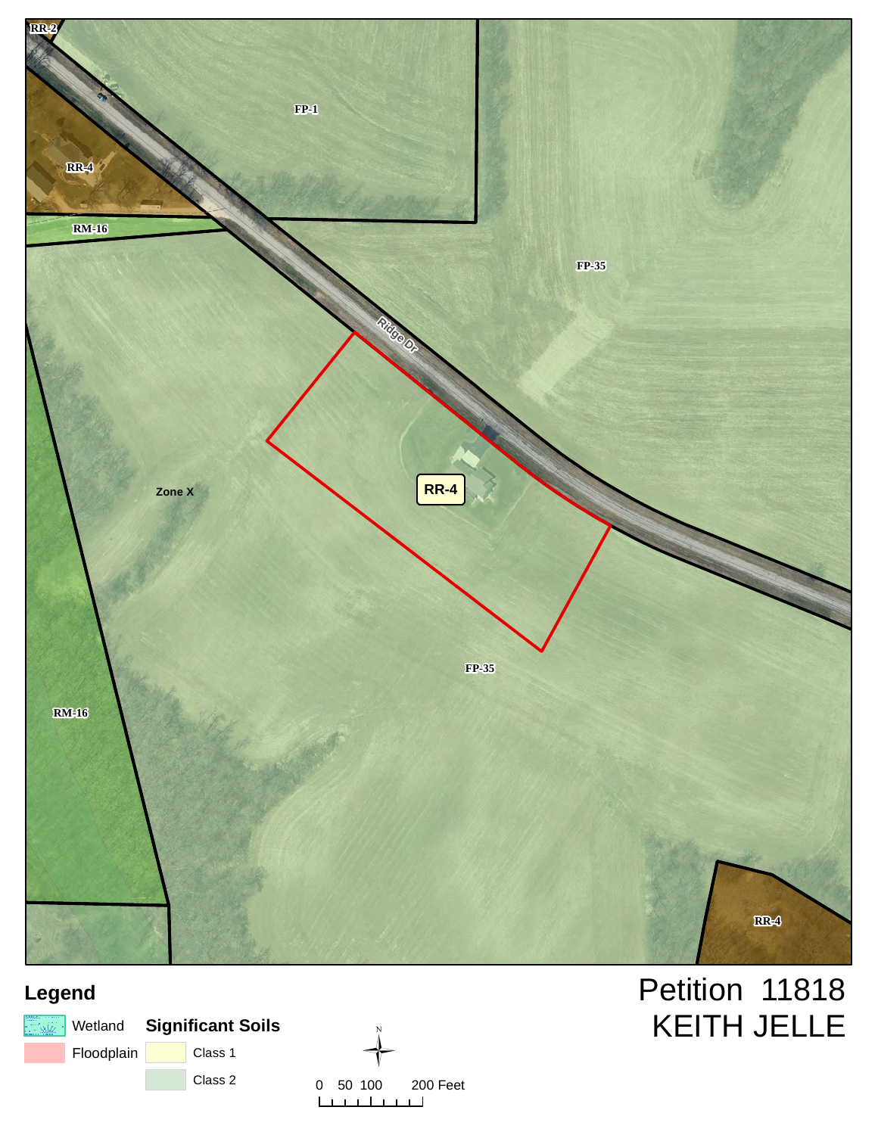

# **Legend**





# Petition 11818 KEITH JELLE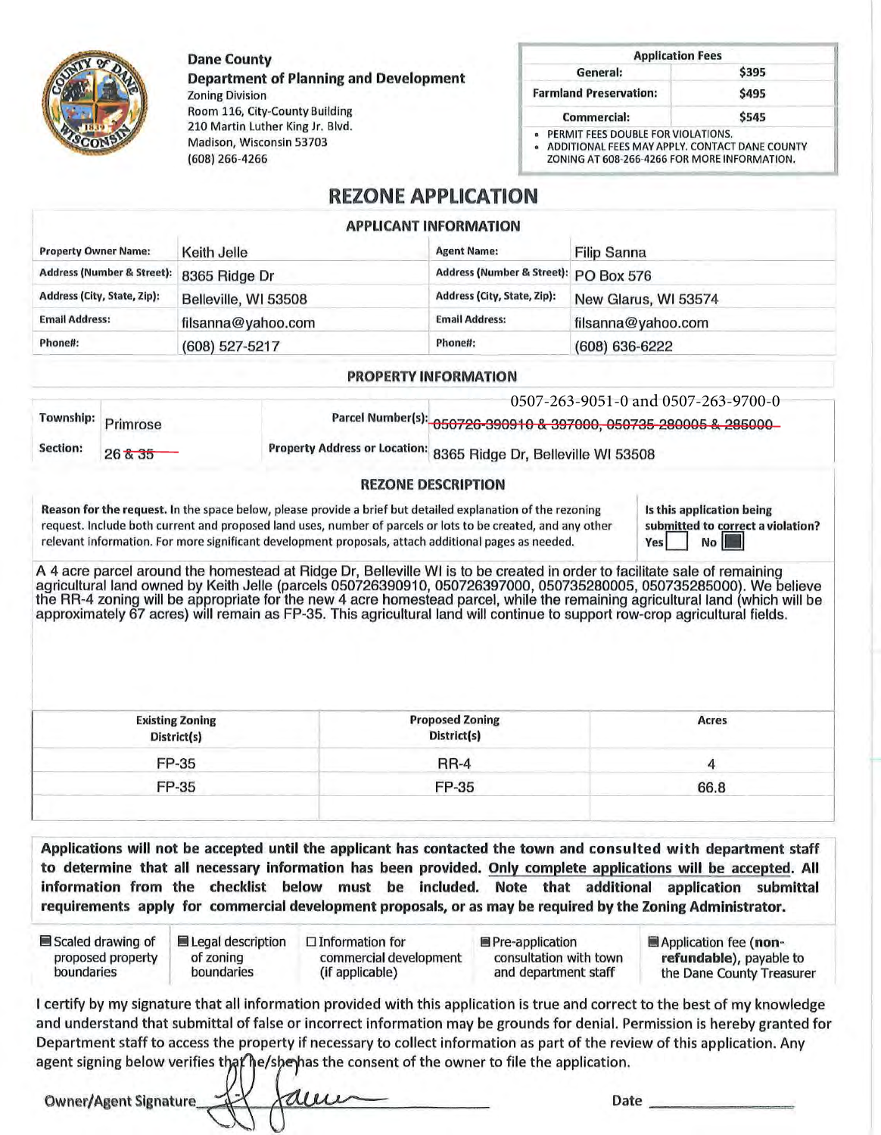**Dane County** 

(608) 266-4266

Madison, Wisconsin 53703

**Department of Planning and Development Zoning Division** Room 116, City-County Building 210 Martin Luther King Jr. Blvd.

| <b>Application Fees</b>                                                              |       |
|--------------------------------------------------------------------------------------|-------|
| General:                                                                             | \$395 |
| <b>Farmland Preservation:</b>                                                        | \$495 |
| <b>Commercial:</b>                                                                   | \$545 |
| PERMIT FEES DOUBLE FOR VIOLATIONS.<br>ADDITIONAL FEEC MAN ABBLY CONTACT DANIE COUNTY |       |

ADDITIONAL FEES MAY APPLY. CONTACT DANE COUNT ZONING AT 608-266-4266 FOR MORE INFORMATION.

### **REZONE APPLICATION**

#### **APPLICANT INFORMATION**

| <b>Property Owner Name:</b>           | Keith Jelle          | <b>Agent Name:</b>                    | <b>Filip Sanna</b>   |
|---------------------------------------|----------------------|---------------------------------------|----------------------|
| <b>Address (Number &amp; Street):</b> | 8365 Ridge Dr        | Address (Number & Street): PO Box 576 |                      |
| Address (City, State, Zip):           | Belleville, WI 53508 | Address (City, State, Zip):           | New Glarus, WI 53574 |
| <b>Email Address:</b>                 | filsanna@yahoo.com   | <b>Email Address:</b>                 | filsanna@yahoo.com   |
| Phone#:                               | (608) 527-5217       | Phone#:                               | $(608) 636 - 6222$   |

#### **PROPERTY INFORMATION**

| Township: | Primrose          |                                                                                                            | Parcel Number(s): 050726-390910 & 397000, 050735-280005 & 285000 | 0507-263-9051-0 and 0507-263-9700-0 |
|-----------|-------------------|------------------------------------------------------------------------------------------------------------|------------------------------------------------------------------|-------------------------------------|
| Section:  | $26\frac{1}{6}35$ |                                                                                                            | Property Address or Location: 8365 Ridge Dr, Belleville WI 53508 |                                     |
|           |                   |                                                                                                            | <b>REZONE DESCRIPTION</b>                                        |                                     |
|           |                   | Reason for the request in the space below, please provide a brief but detailed evolutation of the rezoning |                                                                  | le this annitration hoing           |

#### equest. In the space below, please provide a brief but detailed explanation of the rezoning request. Include both current and proposed land uses, number of parcels or lots to be created, and any other relevant information. For more significant development proposals, attach additional pages as needed.

this application being submitted to correct a violation? **Yes** No

A 4 acre parcel around the homestead at Ridge Dr, Belleville WI is to be created in order to facilitate sale of remaining agricultural land owned by Keith Jelle (parcels 050726390910, 050726397000, 050735280005, 050735285000). We believe the RR-4 zoning will be appropriate for the new 4 acre homestead parcel, while the remaining agricultural land (which will be approximately 67 acres) will remain as FP-35. This agricultural land will continue to support row-crop agricultural fields.

| <b>Existing Zoning</b><br>District(s) | <b>Proposed Zoning</b><br>District(s) | Acres |  |
|---------------------------------------|---------------------------------------|-------|--|
| FP-35                                 | <b>RR-4</b>                           |       |  |
| FP-35                                 | FP-35                                 | 66.8  |  |

Applications will not be accepted until the applicant has contacted the town and consulted with department staff to determine that all necessary information has been provided. Only complete applications will be accepted. All information from the checklist below must be included. Note that additional application submittal requirements apply for commercial development proposals, or as may be required by the Zoning Administrator.

| ■ Scaled drawing of | Legal description | $\Box$ Information for | ■ Pre-application      | Application fee (non-     |
|---------------------|-------------------|------------------------|------------------------|---------------------------|
| proposed property   | of zoning         | commercial development | consultation with town | refundable), payable to   |
| boundaries          | boundaries        | (if applicable)        | and department staff   | the Dane County Treasurer |
|                     |                   |                        |                        |                           |

I certify by my signature that all information provided with this application is true and correct to the best of my knowledge and understand that submittal of false or incorrect information may be grounds for denial. Permission is hereby granted for Department staff to access the property if necessary to collect information as part of the review of this application. Any agent signing below verifies that he/she has the consent of the owner to file the application.

**Owner/Agent Signature** 

Date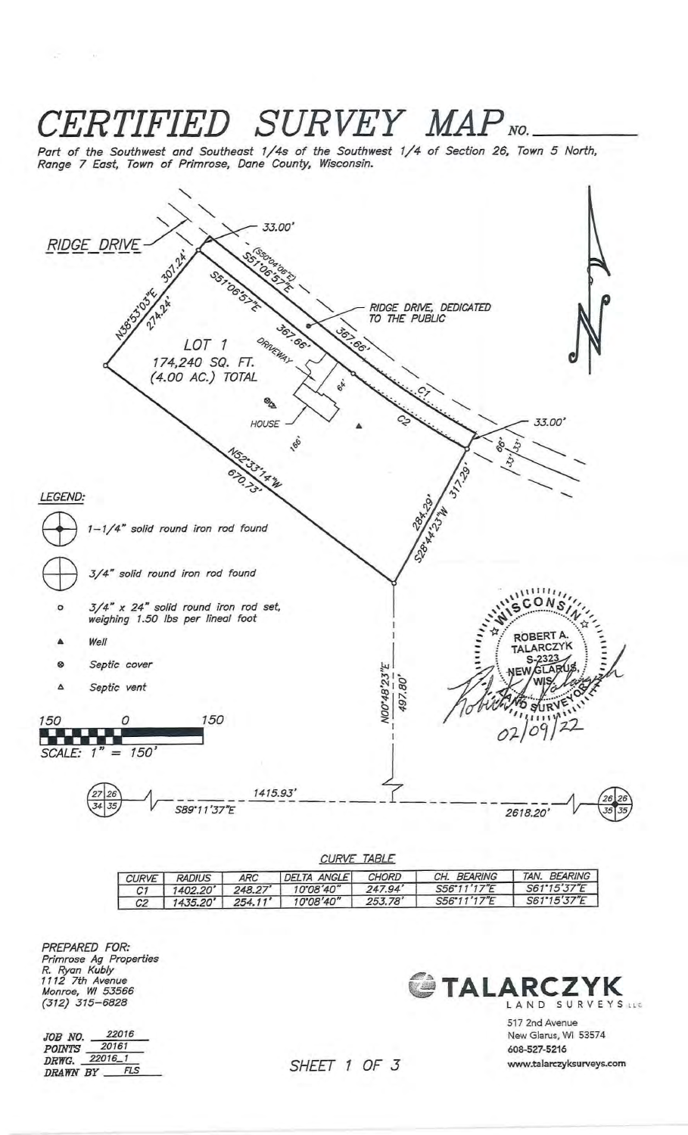#### **CERTIFIED SURVEY MAP NO.** Part of the Southwest and Southeast 1/4s of the Southwest 1/4 of Section 26, Town 5 North,<br>Range 7 East, Town of Primrose, Dane County, Wisconsin. 33.00' **RIDGE DRIVE** RIDGE DRIVE, DEDICATED<br>TO THE PUBLIC ORNEWAY  $\sigma$ LOT<sub>1</sub> 174,240 SQ. FT. (4.00 AC.) TOTAL OA 33.00 HOUSE -166 LEGEND: SOBART STATES 1-1/4" solid round iron rod found 3/4" solid round iron rod found  $CONS$ 3/4" x 24" solid round iron rod set,<br>weighing 1.50 lbs per lineal foot  $\circ$ ROBERT A Well TALARCZYK S Septic cover ⊗ NO0'48'23"E  $90^{\circ}$ Septic vent Δ 497. 150 150 0 02/09/22 t. et A.  $= 150$ SCALE: 1 1415.93' 35 S89\*11'37"E 2618.20

| CURVE <i>IABLE</i> |                                                                                           |         |                     |         |             |              |  |  |
|--------------------|-------------------------------------------------------------------------------------------|---------|---------------------|---------|-------------|--------------|--|--|
| <b>CURVE</b>       | TAN. BEARING<br>CH. BEARING<br><b>CHORD</b><br>DELTA ANGLE<br><b>ARC</b><br><b>RADIUS</b> |         |                     |         |             |              |  |  |
|                    | 1402.20'                                                                                  | 248.27' | $10^{\circ}08'40''$ | 247.94' | S56'11'17"F | S61'15'37''F |  |  |
| C2                 | 1435.20'                                                                                  | 254.11' | $10^{\circ}08'40''$ | 253.78' | S56"11'17"E | S61'15'37"E  |  |  |

PREPARED FOR: Primrose Ag Properties<br>R. Ryan Kubly<br>1112 7th Avenue<br>Monroe, WI 53566<br>(312) 315–6828

 $\omega_{\rm{max}}=0$ 

**JOB NO.** 22016<br>POINTS 20161<br>DRWG. 22016\_1 22016 DRAWN BY FLS CTALARCZYK LAND SURVEYS LLC

> 517 2nd Avenue New Glarus, WI 53574 608-527-5216 www.talarczyksurveys.com

# SHEET 1 OF 3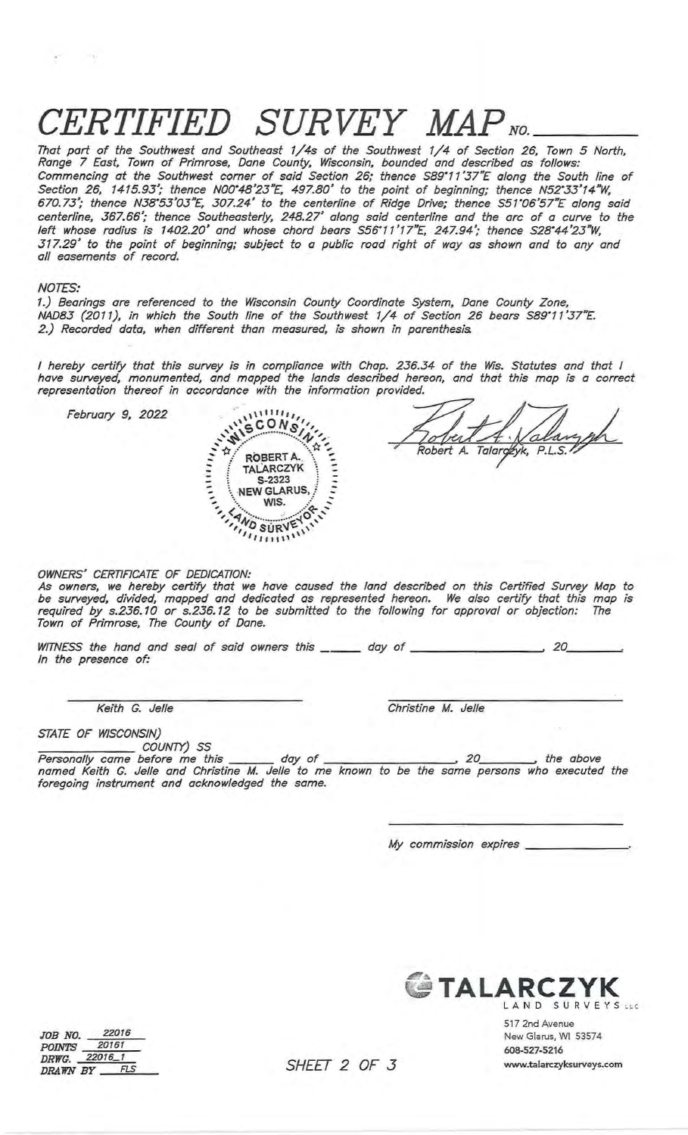# *'ERTIFIED* SURVEY MAP<sub>NO</sub>

That part of the Southwest and Southeast 1/4s of the Southwest 1/4 of Section 26, Town 5 North, Range 7 East, Town of Primrose, Dane County, Wisconsin, bounded and described as follows:<br>Commencing at the Southwest corner of said Section 26; thence S89°11'37"E along the South line of<br>Section 26, 1415.93'; thence N00'4 centerline, 367.66'; thence Southeasterly, 248.27' along said centerline and the arc of a curve to the left whose radius is 1402.20' and whose chord bears S56°11'17"E, 247.94'; thence S28°44'23"W, 317.29' to the point of beginning; subject to a public road right of way as shown and to any and all easements of record.

#### **NOTES:**

 $\sim$   $_{\rm A}$ 

1.) Bearings are referenced to the Wisconsin County Coordinate System, Dane County Zone, NAD83 (2011), in which the South line of the Southwest 1/4 of Section 26 bears S89°11'37"E. 2.) Recorded data, when different than measured, is shown in parenthesis.

I hereby certify that this survey is in compliance with Chap. 236.34 of the Wis. Statutes and that I<br>have surveyed, monumented, and mapped the lands described hereon, and that this map is a correct<br>representation thereof i

February 9, 2022

THE ROSE TALA scons;

Robert A. Talarceyk, P.L.S.<sup>1</sup>

OWNERS' CERTIFICATE OF DEDICATION:

As owners, we hereby certify that we have caused the land described on this Certified Survey Map to<br>be surveyed, divided, mapped and dedicated as represented hereon. We also certify that this map is<br>required by s.236.10 or

WITNESS the hand and seal of said owners this \_\_\_\_\_\_\_ day of \_\_\_\_\_\_\_\_\_\_\_\_\_\_\_\_\_\_\_\_  $\overline{\phantom{0}}$  20 In the presence of:

Keith G. Jelle

Christine M. Jelle

STATE OF WISCONSIN)

COUNTY) SS

foregoing instrument and acknowledged the same.

My commission expires



517 2nd Avenue New Glarus, WI 53574 608-527-5216 www.talarczyksurveys.com

 $JOB \t NO. \t \t 20161$ 22016 POINTS 20161 DRAWN BY \_\_\_ FLS

SHEET 2 OF 3